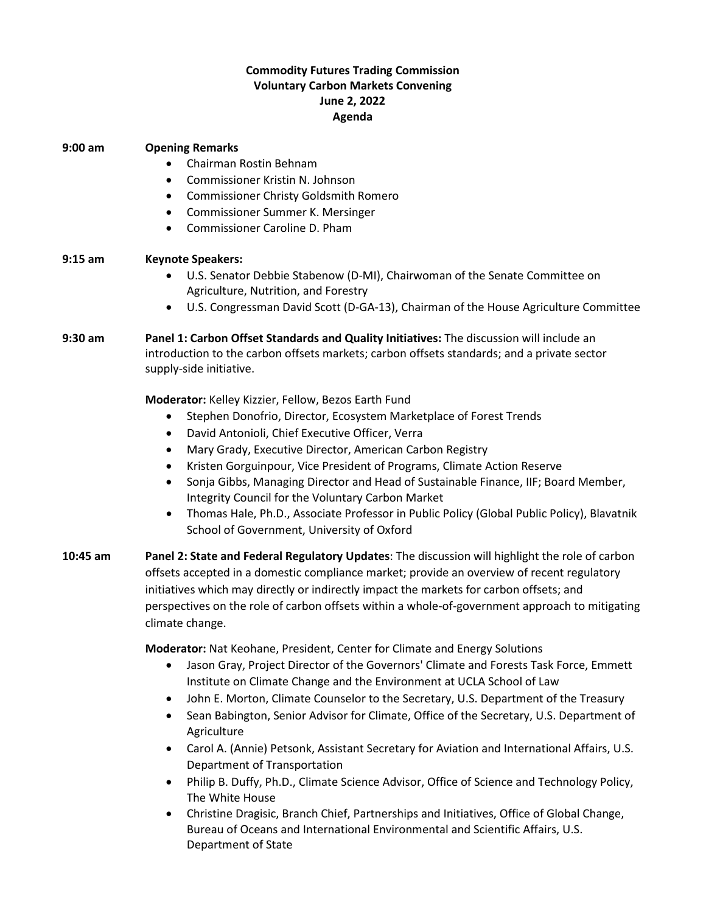## **Commodity Futures Trading Commission Voluntary Carbon Markets Convening June 2, 2022 Agenda**

| $9:00$ am  | <b>Opening Remarks</b><br>Chairman Rostin Behnam<br>Commissioner Kristin N. Johnson<br>$\bullet$<br><b>Commissioner Christy Goldsmith Romero</b><br>$\bullet$<br>Commissioner Summer K. Mersinger<br>٠<br>Commissioner Caroline D. Pham<br>$\bullet$                                                                                                                                                                                                                                                                                                                                                                                                                                                                                                                                                           |
|------------|----------------------------------------------------------------------------------------------------------------------------------------------------------------------------------------------------------------------------------------------------------------------------------------------------------------------------------------------------------------------------------------------------------------------------------------------------------------------------------------------------------------------------------------------------------------------------------------------------------------------------------------------------------------------------------------------------------------------------------------------------------------------------------------------------------------|
| $9:15$ am  | <b>Keynote Speakers:</b><br>U.S. Senator Debbie Stabenow (D-MI), Chairwoman of the Senate Committee on<br>٠<br>Agriculture, Nutrition, and Forestry<br>U.S. Congressman David Scott (D-GA-13), Chairman of the House Agriculture Committee                                                                                                                                                                                                                                                                                                                                                                                                                                                                                                                                                                     |
| $9:30$ am  | Panel 1: Carbon Offset Standards and Quality Initiatives: The discussion will include an<br>introduction to the carbon offsets markets; carbon offsets standards; and a private sector<br>supply-side initiative.                                                                                                                                                                                                                                                                                                                                                                                                                                                                                                                                                                                              |
|            | Moderator: Kelley Kizzier, Fellow, Bezos Earth Fund<br>Stephen Donofrio, Director, Ecosystem Marketplace of Forest Trends<br>٠<br>David Antonioli, Chief Executive Officer, Verra<br>$\bullet$<br>Mary Grady, Executive Director, American Carbon Registry<br>$\bullet$<br>Kristen Gorguinpour, Vice President of Programs, Climate Action Reserve<br>$\bullet$<br>Sonja Gibbs, Managing Director and Head of Sustainable Finance, IIF; Board Member,<br>٠<br>Integrity Council for the Voluntary Carbon Market<br>Thomas Hale, Ph.D., Associate Professor in Public Policy (Global Public Policy), Blavatnik<br>$\bullet$<br>School of Government, University of Oxford                                                                                                                                       |
| $10:45$ am | Panel 2: State and Federal Regulatory Updates: The discussion will highlight the role of carbon<br>offsets accepted in a domestic compliance market; provide an overview of recent regulatory<br>initiatives which may directly or indirectly impact the markets for carbon offsets; and<br>perspectives on the role of carbon offsets within a whole-of-government approach to mitigating<br>climate change.                                                                                                                                                                                                                                                                                                                                                                                                  |
|            | Moderator: Nat Keohane, President, Center for Climate and Energy Solutions<br>Jason Gray, Project Director of the Governors' Climate and Forests Task Force, Emmett<br>$\bullet$<br>Institute on Climate Change and the Environment at UCLA School of Law<br>John E. Morton, Climate Counselor to the Secretary, U.S. Department of the Treasury<br>٠<br>Sean Babington, Senior Advisor for Climate, Office of the Secretary, U.S. Department of<br>Agriculture<br>Carol A. (Annie) Petsonk, Assistant Secretary for Aviation and International Affairs, U.S.<br>٠<br>Department of Transportation<br>Philip B. Duffy, Ph.D., Climate Science Advisor, Office of Science and Technology Policy,<br>The White House<br>Christine Dragisic, Branch Chief, Partnerships and Initiatives, Office of Global Change, |

Bureau of Oceans and International Environmental and Scientific Affairs, U.S. Department of State